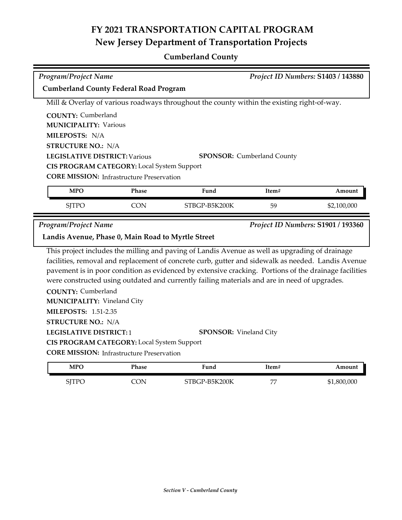## **FY 2021 TRANSPORTATION CAPITAL PROGRAM New Jersey Department of Transportation Projects**

## **Cumberland County**

| Program/Project Name<br>Project ID Numbers: S1403 / 143880                                                              |            |                                                                                                |       |                                    |  |
|-------------------------------------------------------------------------------------------------------------------------|------------|------------------------------------------------------------------------------------------------|-------|------------------------------------|--|
| <b>Cumberland County Federal Road Program</b>                                                                           |            |                                                                                                |       |                                    |  |
| Mill & Overlay of various roadways throughout the county within the existing right-of-way.                              |            |                                                                                                |       |                                    |  |
| <b>COUNTY: Cumberland</b>                                                                                               |            |                                                                                                |       |                                    |  |
| <b>MUNICIPALITY: Various</b>                                                                                            |            |                                                                                                |       |                                    |  |
| MILEPOSTS: N/A                                                                                                          |            |                                                                                                |       |                                    |  |
|                                                                                                                         |            |                                                                                                |       |                                    |  |
| <b>STRUCTURE NO.: N/A</b>                                                                                               |            |                                                                                                |       |                                    |  |
| <b>LEGISLATIVE DISTRICT: Various</b><br><b>SPONSOR:</b> Cumberland County<br>CIS PROGRAM CATEGORY: Local System Support |            |                                                                                                |       |                                    |  |
|                                                                                                                         |            |                                                                                                |       |                                    |  |
| <b>CORE MISSION:</b> Infrastructure Preservation                                                                        |            |                                                                                                |       |                                    |  |
| <b>MPO</b>                                                                                                              | Phase      | Fund                                                                                           | Item# | Amount                             |  |
| <b>SJTPO</b>                                                                                                            | <b>CON</b> | STBGP-B5K200K                                                                                  | 59    | \$2,100,000                        |  |
| <b>Program/Project Name</b>                                                                                             |            |                                                                                                |       | Project ID Numbers: S1901 / 193360 |  |
| Landis Avenue, Phase 0, Main Road to Myrtle Street                                                                      |            |                                                                                                |       |                                    |  |
|                                                                                                                         |            | This project includes the milling and paving of Landis Avenue as well as upgrading of drainage |       |                                    |  |
| facilities, removal and replacement of concrete curb, gutter and sidewalk as needed. Landis Avenue                      |            |                                                                                                |       |                                    |  |
| pavement is in poor condition as evidenced by extensive cracking. Portions of the drainage facilities                   |            |                                                                                                |       |                                    |  |
| were constructed using outdated and currently failing materials and are in need of upgrades.                            |            |                                                                                                |       |                                    |  |
| <b>COUNTY: Cumberland</b>                                                                                               |            |                                                                                                |       |                                    |  |
| <b>MUNICIPALITY: Vineland City</b>                                                                                      |            |                                                                                                |       |                                    |  |
| <b>MILEPOSTS: 1.51-2.35</b>                                                                                             |            |                                                                                                |       |                                    |  |
| <b>STRUCTURE NO.: N/A</b>                                                                                               |            |                                                                                                |       |                                    |  |
| <b>LEGISLATIVE DISTRICT:1</b>                                                                                           |            | <b>SPONSOR:</b> Vineland City                                                                  |       |                                    |  |

**CIS PROGRAM CATEGORY:** Local System Support

**CORE MISSION: Infrastructure Preservation** 

| <b>MPO</b>                                  | Phase | Fund                | Item# | Amount      |
|---------------------------------------------|-------|---------------------|-------|-------------|
| $\epsilon$ ite $\epsilon$<br>ັ<br>, , , , , | `ON   | ?-B5K200K<br>STBGP- | H     | \$1,800,000 |